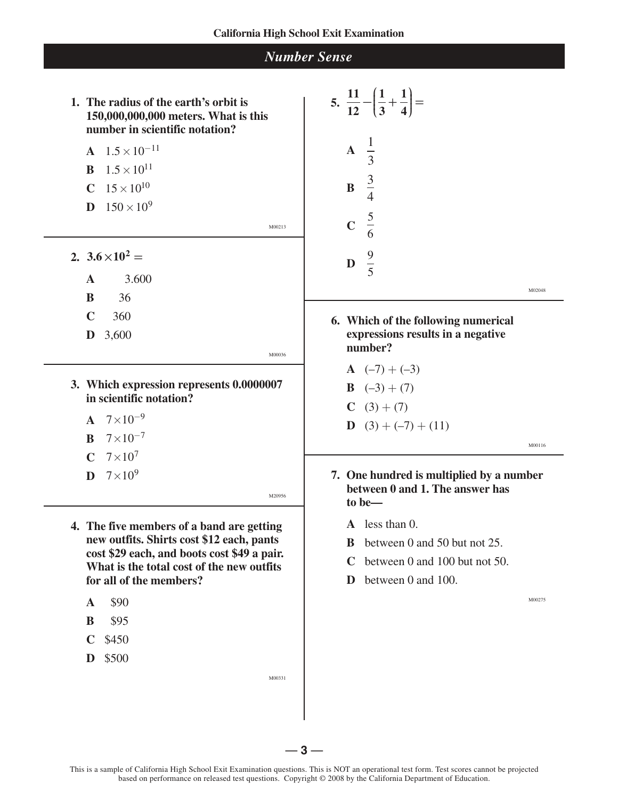| <b>Number Sense</b>                                                                                                                                                                                                                                  |                                                                                                                                                                 |  |
|------------------------------------------------------------------------------------------------------------------------------------------------------------------------------------------------------------------------------------------------------|-----------------------------------------------------------------------------------------------------------------------------------------------------------------|--|
| 1. The radius of the earth's orbit is<br>150,000,000,000 meters. What is this<br>number in scientific notation?<br><b>A</b> $1.5 \times 10^{-11}$<br>$1.5 \times 10^{11}$<br>B<br><b>C</b> $15 \times 10^{10}$<br>$150 \times 10^{9}$<br>D<br>M00213 | 5. $rac{11}{12} - \left(\frac{1}{3} + \frac{1}{4}\right) =$<br>$\mathbf{A} \quad \frac{1}{3}$<br>$\mathbf{B} \quad \frac{3}{4}$<br>$\frac{5}{6}$<br>$\mathbf C$ |  |
| 2. $3.6 \times 10^2$ =<br>3.600<br>$\mathbf{A}$<br>36<br>B<br>$\mathbf C$<br>360<br>D<br>3,600                                                                                                                                                       | <b>D</b> $\frac{9}{5}$<br>M02048<br>6. Which of the following numerical<br>expressions results in a negative<br>number?                                         |  |
| M00036<br>3. Which expression represents 0.0000007<br>in scientific notation?<br><b>A</b> $7 \times 10^{-9}$<br>$7 \times 10^{-7}$<br>B                                                                                                              | <b>A</b> $(-7) + (-3)$<br><b>B</b> $(-3) + (7)$<br>$C(3)+(7)$<br><b>D</b> $(3) + (-7) + (11)$<br>M00116                                                         |  |
| $7\times10^7$<br>$\mathbf C$<br>$7\times10^9$<br>D<br>M20956<br>4. The five members of a band are getting<br>new outfits. Shirts cost \$12 each, pants<br>cost \$29 each, and boots cost \$49 a pair.                                                | 7. One hundred is multiplied by a number<br>between 0 and 1. The answer has<br>to be-<br>less than $0$ .<br>$\mathbf{A}$<br>between 0 and 50 but not 25.<br>B   |  |
| What is the total cost of the new outfits<br>for all of the members?<br>\$90<br>$\mathbf A$<br>\$95<br>B<br>$\mathbf C$<br>\$450                                                                                                                     | between 0 and 100 but not 50.<br>C<br>between 0 and 100.<br>D<br>M00275                                                                                         |  |

**D** \$500

 $\overline{a}$ 

 $\overline{a}$ 

 $\overline{a}$ 

M00331

 $-3-$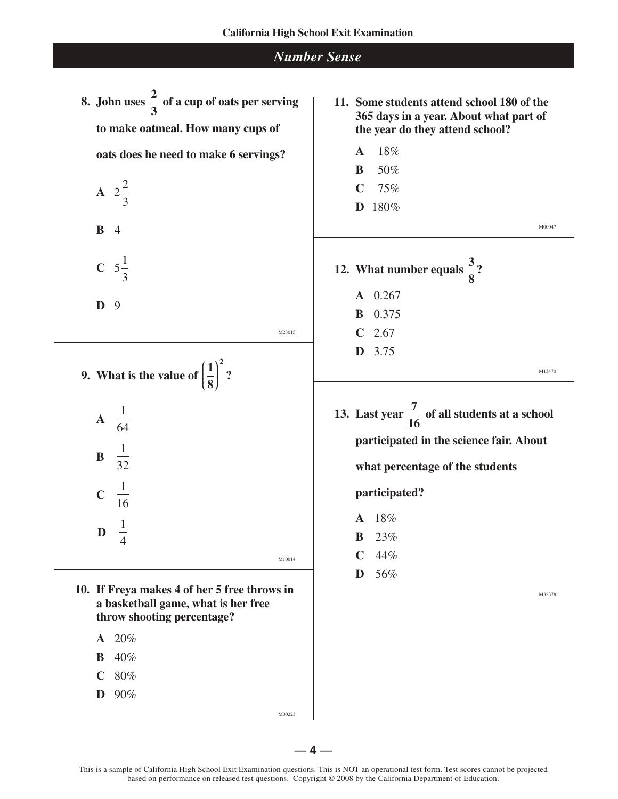## *Number Sense*

**8.** John uses  $\frac{2}{5}$  of a cup of oats per serving **3 to make oatmeal. How many cups of oats does he need to make 6 servings?**

> **A**  $2\frac{2}{3}$ 3 **B** 4 **C**  $5\frac{1}{2}$

**D** 9

3

M23015

- **9.** What is the value of  $\left(\frac{1}{2}\right)^2$  $\left(\frac{1}{8}\right)^{2}$ 
	- **A**  1 64 **B**  1 32 **C**  1 16

1 4

**D** 

 **10. If Freya makes 4 of her 5 free throws in a basketball game, what is her free throw shooting percentage?**

 $-4-$ 

- **A** 20%
- **B** 40%
- **C** 80%
- **D** 90%

M00223

M10014

- **11. Some students attend school 180 of the 365 days in a year. About what part of the year do they attend school?**
	- **A** 18%
	- **B** 50% **C** 75%
	- **D** 180%
- **12.** What number equals  $\frac{3}{5}$ ? **8**
	- **A** 0.267 **B** 0.375
	- **C** 2.67
	- **D** 3.75

M13470

M00047

**13.** Last year  $\frac{7}{6}$  of all students at a school **16 participated in the science fair. About** 

**what percentage of the students** 

**participated?**

- **A** 18%
- **B** 23%
- $C$  44%
- **D** 56%

M32378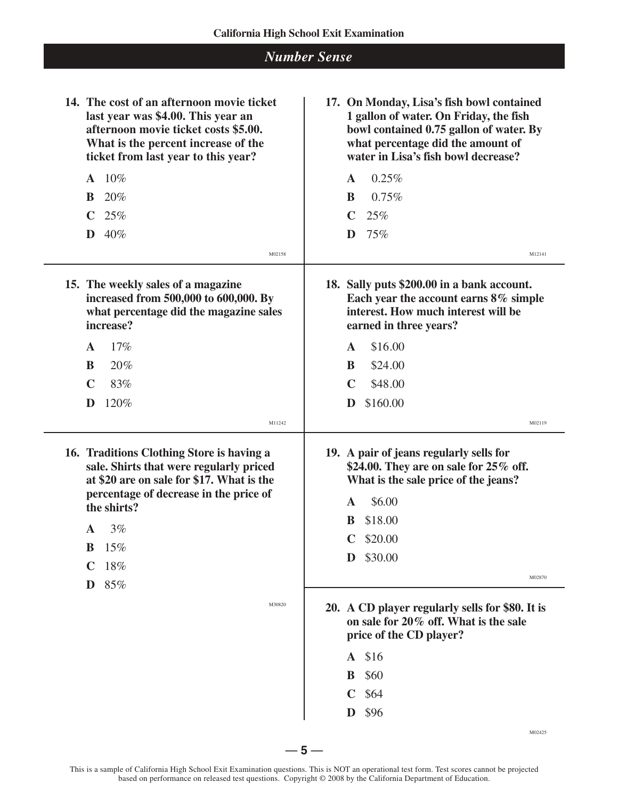| <b>Number Sense</b>                                                                                                                                                                                                                                           |                                                                                                                                                                                                                                                                                                                                                                           |
|---------------------------------------------------------------------------------------------------------------------------------------------------------------------------------------------------------------------------------------------------------------|---------------------------------------------------------------------------------------------------------------------------------------------------------------------------------------------------------------------------------------------------------------------------------------------------------------------------------------------------------------------------|
| 14. The cost of an afternoon movie ticket<br>last year was \$4.00. This year an<br>afternoon movie ticket costs \$5.00.<br>What is the percent increase of the<br>ticket from last year to this year?                                                         | 17. On Monday, Lisa's fish bowl contained<br>1 gallon of water. On Friday, the fish<br>bowl contained 0.75 gallon of water. By<br>what percentage did the amount of<br>water in Lisa's fish bowl decrease?                                                                                                                                                                |
| $A$ 10%<br>$20\%$<br><sup>B</sup><br>$C$ 25%<br>$\mathbf{D}$ 40%<br>M02158                                                                                                                                                                                    | 0.25%<br>$\mathbf{A}$<br>0.75%<br>B<br>$\mathbf C$<br>25%<br>$75\%$<br>D<br>M12141                                                                                                                                                                                                                                                                                        |
| 15. The weekly sales of a magazine<br>increased from 500,000 to 600,000. By<br>what percentage did the magazine sales<br>increase?<br>17%<br>$\mathbf{A}$<br>20%<br>B<br>$\mathbf C$<br>83%<br>120%<br>D                                                      | 18. Sally puts \$200.00 in a bank account.<br>Each year the account earns 8% simple<br>interest. How much interest will be<br>earned in three years?<br>\$16.00<br>$\mathbf{A}$<br>\$24.00<br>B<br>$\mathbf C$<br>\$48.00<br>\$160.00<br>D                                                                                                                                |
| M11242<br>16. Traditions Clothing Store is having a<br>sale. Shirts that were regularly priced<br>at \$20 are on sale for \$17. What is the<br>percentage of decrease in the price of<br>the shirts?<br>3%<br>A<br>15%<br>B<br>18%<br>C<br>85%<br>D<br>M30820 | M02119<br>19. A pair of jeans regularly sells for<br>\$24.00. They are on sale for 25% off.<br>What is the sale price of the jeans?<br>\$6.00<br>A<br>\$18.00<br>B<br>$C$ \$20.00<br>\$30.00<br>D<br>M02870<br>20. A CD player regularly sells for \$80. It is<br>on sale for 20% off. What is the sale<br>price of the CD player?<br>A \$16<br><b>B</b> \$60<br>$C$ \$64 |
|                                                                                                                                                                                                                                                               | \$96<br>D<br>M02425                                                                                                                                                                                                                                                                                                                                                       |

 $-5 -$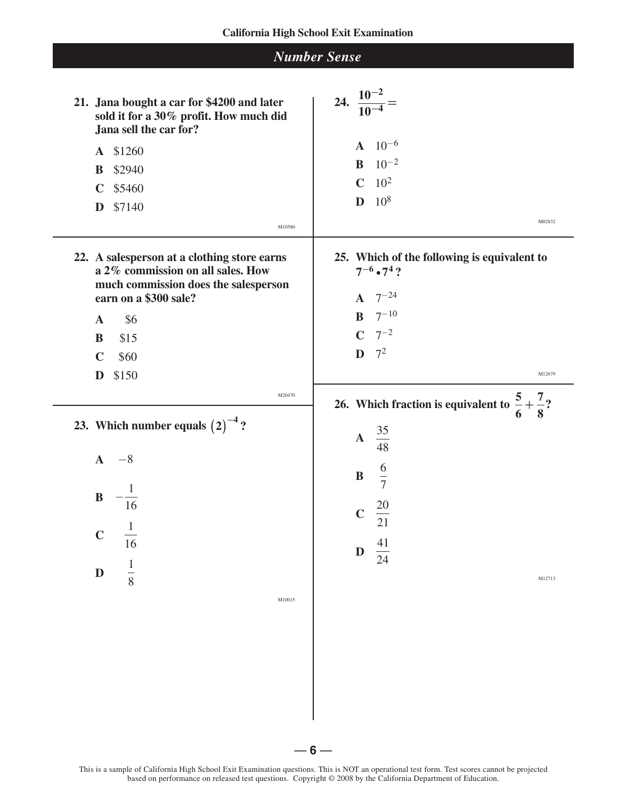| <b>Number Sense</b>                                                                                                                                                                                                        |                                                                                                                                                                                                |
|----------------------------------------------------------------------------------------------------------------------------------------------------------------------------------------------------------------------------|------------------------------------------------------------------------------------------------------------------------------------------------------------------------------------------------|
| 21. Jana bought a car for \$4200 and later<br>sold it for a 30% profit. How much did<br>Jana sell the car for?<br>A \$1260<br>\$2940<br>B<br>\$5460<br>$\mathbf C$<br>D<br>\$7140<br>M10580                                | 24. $\frac{10^{-2}}{10^{-4}}$ =<br>$10^{-6}$<br>$\mathbf{A}$<br>$10^{-2}$<br>$\bf{B}$<br>$C$ 10 <sup>2</sup><br>$10^{8}$<br>D<br>M02832                                                        |
| 22. A salesperson at a clothing store earns<br>a 2% commission on all sales. How<br>much commission does the salesperson<br>earn on a \$300 sale?<br>\$6<br>$\mathbf{A}$<br>\$15<br>B<br>$\mathbf C$<br>\$60<br>D<br>\$150 | 25. Which of the following is equivalent to<br>$7^{-6} \cdot 7^4$ ?<br>$7^{-24}$<br>$\mathbf{A}$<br><b>B</b> $7^{-10}$<br>$C \t 7^{-2}$<br>$\mathbf{D}$ $7^2$<br>M12679                        |
| M20470<br>23. Which number equals $(2)^{-4}$ ?<br>$A -8$<br>$\, {\bf B}$<br>16<br>$\overline{1}$<br>$\mathbf C$<br>16<br>$\frac{1}{8}$<br>D<br>M10015                                                                      | 26. Which fraction is equivalent to $\frac{5}{6} + \frac{7}{8}$ ?<br><b>A</b> $\frac{35}{48}$<br>$\frac{6}{7}$<br>$\bf{B}$<br>$\frac{20}{21}$<br>$\mathbf C$<br>$\frac{41}{24}$<br>D<br>M12713 |

 $\overline{a}$ 

-

— **6** —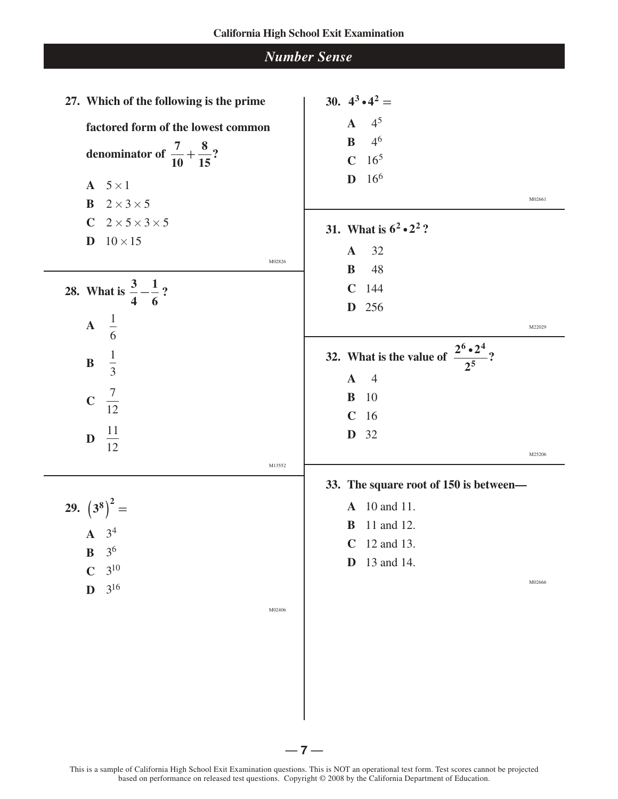| <b>Number Sense</b> |  |
|---------------------|--|
|---------------------|--|

| 27. Which of the following is the prime        | 30. $4^3 \cdot 4^2 =$                                  |
|------------------------------------------------|--------------------------------------------------------|
| factored form of the lowest common             | 4 <sup>5</sup><br>$\mathbf{A}$                         |
|                                                | 4 <sup>6</sup><br>$\, {\bf B}$                         |
| denominator of $\frac{7}{10} + \frac{8}{15}$ ? | $16^{5}$<br>$\mathbf C$                                |
| $A \quad 5 \times 1$                           | $16^{6}$<br>$\mathbf{D}$                               |
| <b>B</b> $2 \times 3 \times 5$                 | M02661                                                 |
| $C$ 2 $\times$ 5 $\times$ 3 $\times$ 5         | 31. What is $6^2 \cdot 2^2$ ?                          |
| $10 \times 15$<br>D                            |                                                        |
| M02826                                         | 32<br>$\mathbf{A}$<br>48<br>$\bf{B}$                   |
|                                                | $\mathbf C$<br>144                                     |
| 28. What is $\frac{3}{4} - \frac{1}{6}$ ?      | 256<br>D                                               |
| $\mathbf{A} \quad \frac{1}{6}$                 | M22029                                                 |
|                                                |                                                        |
| $\frac{1}{3}$<br>$\bf{B}$                      | 32. What is the value of $\frac{2^6 \cdot 2^4}{2^5}$ ? |
|                                                | $\overline{4}$<br>$\mathbf{A}$                         |
| <b>C</b> $\frac{7}{12}$                        | 10<br>B                                                |
|                                                | $\mathbf C$<br>16                                      |
| <b>D</b> $\frac{11}{12}$                       | 32<br>D                                                |
| M13552                                         | M25206                                                 |
|                                                | 33. The square root of 150 is between-                 |
| 29. $(3^8)^2$ =                                | <b>A</b> 10 and 11.                                    |
| $A \quad 3^4$                                  | 11 and 12.<br>B                                        |
| 3 <sup>6</sup><br>$\bf{B}$                     | 12 and 13.<br>$\mathbf C$                              |
| $3^{10}$<br>$\mathbf C$                        | 13 and 14.<br>D                                        |
| $3^{16}$<br>$\mathbf{D}$                       | M02666                                                 |
| M02406                                         |                                                        |
|                                                |                                                        |
|                                                |                                                        |
|                                                |                                                        |
|                                                |                                                        |
|                                                |                                                        |
|                                                |                                                        |
|                                                | 7 -                                                    |